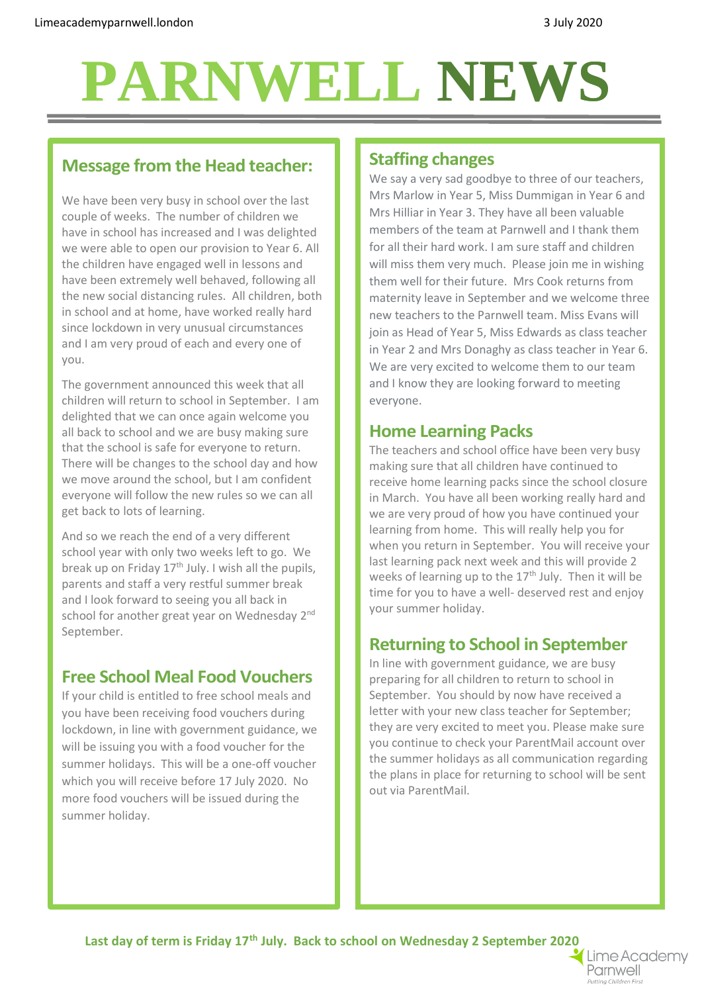# **PARNWELL NEWS PARNWELLNEWS**

#### **Message from the Head teacher:**

We have been very busy in school over the last couple of weeks. The number of children we have in school has increased and I was delighted we were able to open our provision to Year 6. All the children have engaged well in lessons and have been extremely well behaved, following all the new social distancing rules. All children, both in school and at home, have worked really hard since lockdown in very unusual circumstances and I am very proud of each and every one of you.

The government announced this week that all children will return to school in September. I am delighted that we can once again welcome you all back to school and we are busy making sure that the school is safe for everyone to return. There will be changes to the school day and how we move around the school, but I am confident everyone will follow the new rules so we can all get back to lots of learning.

And so we reach the end of a very different school year with only two weeks left to go. We break up on Friday  $17<sup>th</sup>$  July. I wish all the pupils, parents and staff a very restful summer break and I look forward to seeing you all back in school for another great year on Wednesday 2<sup>nd</sup> September.

#### **Free School Meal Food Vouchers**

If your child is entitled to free school meals and you have been receiving food vouchers during lockdown, in line with government guidance, we will be issuing you with a food voucher for the summer holidays. This will be a one-off voucher which you will receive before 17 July 2020. No more food vouchers will be issued during the summer holiday.

#### **Staffing changes**

We say a very sad goodbye to three of our teachers, Mrs Marlow in Year 5, Miss Dummigan in Year 6 and Mrs Hilliar in Year 3. They have all been valuable members of the team at Parnwell and I thank them for all their hard work. I am sure staff and children will miss them very much. Please join me in wishing them well for their future. Mrs Cook returns from maternity leave in September and we welcome three new teachers to the Parnwell team. Miss Evans will join as Head of Year 5, Miss Edwards as class teacher in Year 2 and Mrs Donaghy as class teacher in Year 6. We are very excited to welcome them to our team and I know they are looking forward to meeting everyone.

#### **Home Learning Packs**

The teachers and school office have been very busy making sure that all children have continued to receive home learning packs since the school closure in March. You have all been working really hard and we are very proud of how you have continued your learning from home. This will really help you for when you return in September. You will receive your last learning pack next week and this will provide 2 weeks of learning up to the  $17<sup>th</sup>$  July. Then it will be time for you to have a well- deserved rest and enjoy your summer holiday.

### **Returning to School in September**

In line with government guidance, we are busy preparing for all children to return to school in September. You should by now have received a letter with your new class teacher for September; they are very excited to meet you. Please make sure you continue to check your ParentMail account over the summer holidays as all communication regarding the plans in place for returning to school will be sent out via ParentMail.